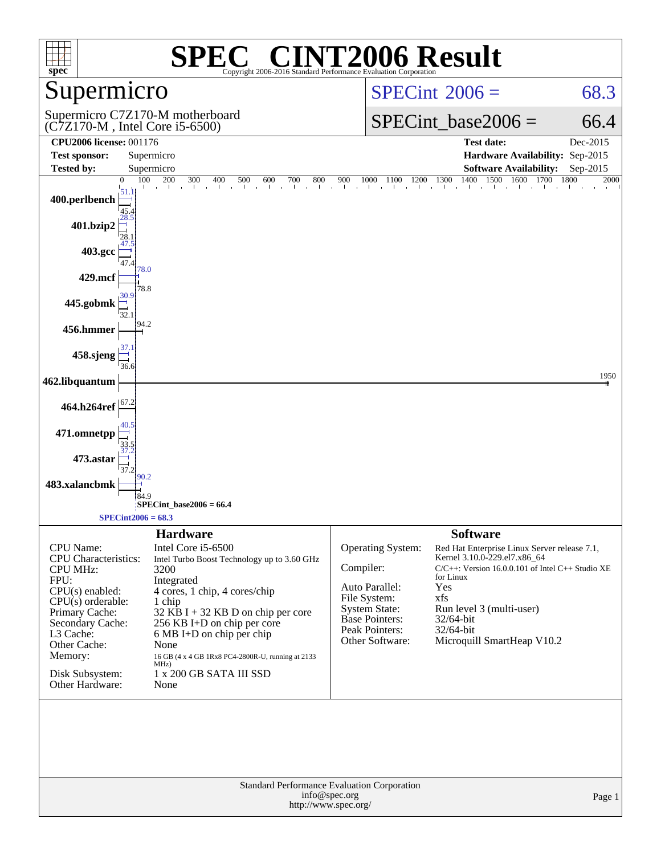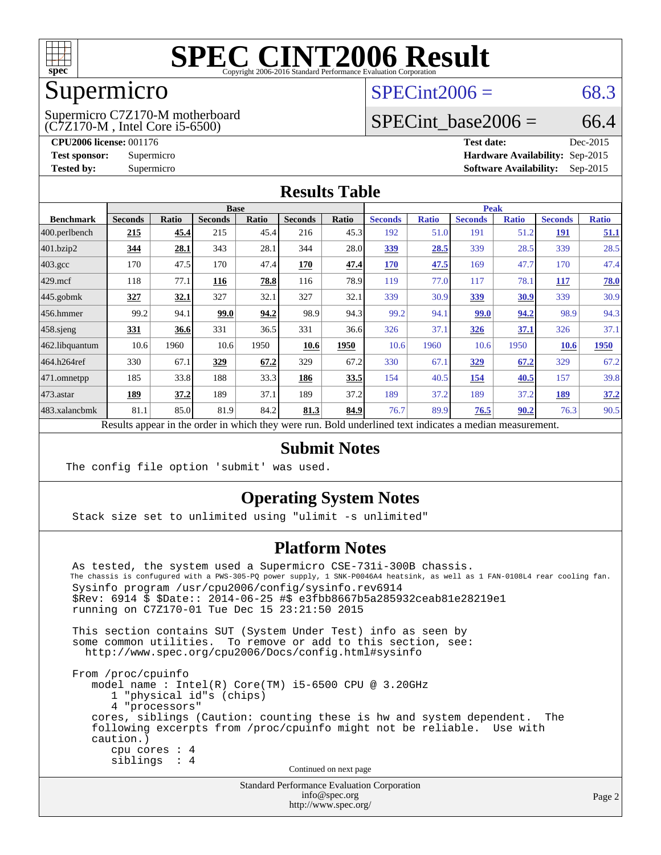

# Supermicro

(C7Z170-M , Intel Core i5-6500) Supermicro C7Z170-M motherboard  $SPECint2006 = 68.3$  $SPECint2006 = 68.3$ 

# SPECint base2006 =  $66.4$

**[CPU2006 license:](http://www.spec.org/auto/cpu2006/Docs/result-fields.html#CPU2006license)** 001176 **[Test date:](http://www.spec.org/auto/cpu2006/Docs/result-fields.html#Testdate)** Dec-2015 **[Test sponsor:](http://www.spec.org/auto/cpu2006/Docs/result-fields.html#Testsponsor)** Supermicro **[Hardware Availability:](http://www.spec.org/auto/cpu2006/Docs/result-fields.html#HardwareAvailability)** Sep-2015 **[Tested by:](http://www.spec.org/auto/cpu2006/Docs/result-fields.html#Testedby)** Supermicro **Supermicro [Software Availability:](http://www.spec.org/auto/cpu2006/Docs/result-fields.html#SoftwareAvailability)** Sep-2015

### **[Results Table](http://www.spec.org/auto/cpu2006/Docs/result-fields.html#ResultsTable)**

| <b>Base</b>    |       |                |       |                              |                              | <b>Peak</b>    |              |                |                                                      |                |              |
|----------------|-------|----------------|-------|------------------------------|------------------------------|----------------|--------------|----------------|------------------------------------------------------|----------------|--------------|
| <b>Seconds</b> | Ratio | <b>Seconds</b> | Ratio | <b>Seconds</b>               | Ratio                        | <b>Seconds</b> | <b>Ratio</b> | <b>Seconds</b> | <b>Ratio</b>                                         | <b>Seconds</b> | <b>Ratio</b> |
| 215            | 45.4  | 215            |       | 216                          | 45.3                         | 192            |              | 191            | 51.2                                                 | <u>191</u>     | <u>51.1</u>  |
| 344            | 28.1  | 343            |       | 344                          |                              | 339            |              | 339            | 28.5                                                 | 339            | 28.5         |
| 170            | 47.5  | 170            |       | 170                          | 47.4                         | 170            | 47.5         | 169            | 47.7                                                 | 170            | 47.4         |
| 118            | 77.1  | 116            | 78.8  | 116                          | 78.9                         | 119            |              | 117            | 78.1                                                 | 117            | <b>78.0</b>  |
| 327            | 32.1  | 327            | 32.1  | 327                          | 32.1                         | 339            |              | 339            | 30.9                                                 | 339            | 30.9         |
| 99.2           | 94.1  | 99.0           |       | 98.9                         | 94.3                         | 99.2           | 94.1         | 99.0           | 94.2                                                 | 98.9           | 94.3         |
| <u>331</u>     | 36.6  | 331            |       | 331                          |                              | 326            | 37.1         | <u>326</u>     | 37.1                                                 | 326            | 37.1         |
| 10.6           | 1960  | 10.6           | 1950  | 10.6                         | 1950                         | 10.6           | 1960         | 10.6           | 1950                                                 | 10.6           | <u>1950</u>  |
| 330            | 67.1  | 329            | 67.2  | 329                          | 67.2                         | 330            | 67.1         | 329            | 67.2                                                 | 329            | 67.2         |
| 185            |       | 188            |       | 186                          | <u>33.5</u>                  | 154            |              | 154            | 40.5                                                 | 157            | 39.8         |
| 189            | 37.2  | 189            |       | 189                          | 37.2                         | 189            |              | 189            | 37.2                                                 | <u>189</u>     | 37.2         |
| 81.1           | 85.0  | 81.9           |       | 81.3                         | 84.9                         | 76.7           |              | 76.5           | 90.2                                                 | 76.3           | 90.5         |
|                |       |                | 33.8  | 28.1<br>47.4<br>94.2<br>33.3 | 45.4<br>36.5<br>37.1<br>84.2 |                | 28.0<br>36.6 |                | 51.0<br>28.5<br>77.0<br>30.9<br>40.5<br>37.2<br>89.9 |                |              |

Results appear in the [order in which they were run.](http://www.spec.org/auto/cpu2006/Docs/result-fields.html#RunOrder) Bold underlined text [indicates a median measurement.](http://www.spec.org/auto/cpu2006/Docs/result-fields.html#Median)

### **[Submit Notes](http://www.spec.org/auto/cpu2006/Docs/result-fields.html#SubmitNotes)**

The config file option 'submit' was used.

### **[Operating System Notes](http://www.spec.org/auto/cpu2006/Docs/result-fields.html#OperatingSystemNotes)**

Stack size set to unlimited using "ulimit -s unlimited"

### **[Platform Notes](http://www.spec.org/auto/cpu2006/Docs/result-fields.html#PlatformNotes)**

Standard Performance Evaluation Corporation As tested, the system used a Supermicro CSE-731i-300B chassis. The chassis is confugured with a PWS-305-PQ power supply, 1 SNK-P0046A4 heatsink, as well as 1 FAN-0108L4 rear cooling fan. Sysinfo program /usr/cpu2006/config/sysinfo.rev6914 \$Rev: 6914 \$ \$Date:: 2014-06-25 #\$ e3fbb8667b5a285932ceab81e28219e1 running on C7Z170-01 Tue Dec 15 23:21:50 2015 This section contains SUT (System Under Test) info as seen by some common utilities. To remove or add to this section, see: <http://www.spec.org/cpu2006/Docs/config.html#sysinfo> From /proc/cpuinfo model name : Intel(R) Core(TM) i5-6500 CPU @ 3.20GHz 1 "physical id"s (chips) 4 "processors" cores, siblings (Caution: counting these is hw and system dependent. The following excerpts from /proc/cpuinfo might not be reliable. Use with caution.) cpu cores : 4 siblings : 4 Continued on next page

[info@spec.org](mailto:info@spec.org) <http://www.spec.org/>

Page 2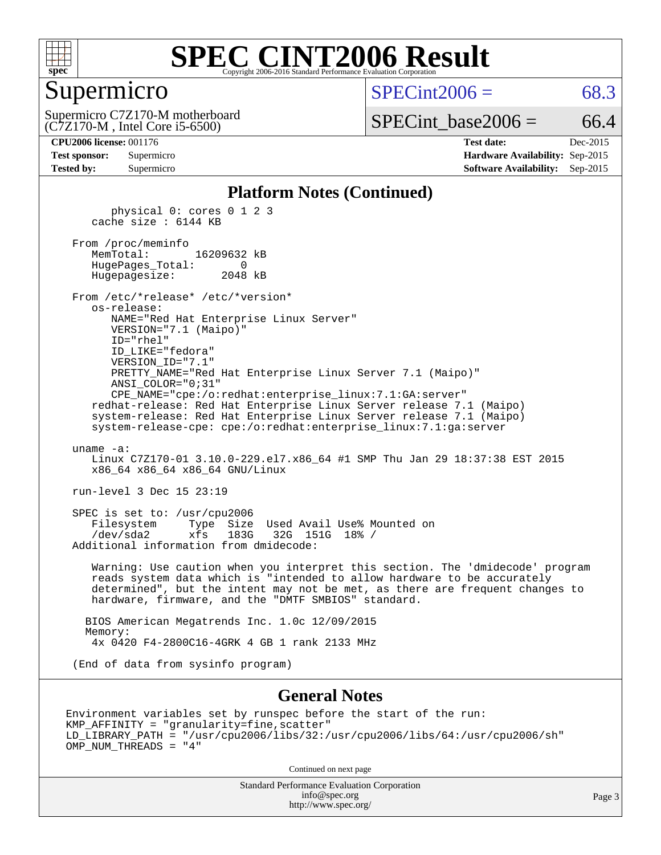

### Supermicro

 $SPECint2006 = 68.3$  $SPECint2006 = 68.3$ 

(C7Z170-M , Intel Core i5-6500) Supermicro C7Z170-M motherboard  $SPECTnt\_base2006 = 66.4$ 

**[CPU2006 license:](http://www.spec.org/auto/cpu2006/Docs/result-fields.html#CPU2006license)** 001176 **[Test date:](http://www.spec.org/auto/cpu2006/Docs/result-fields.html#Testdate)** Dec-2015 **[Test sponsor:](http://www.spec.org/auto/cpu2006/Docs/result-fields.html#Testsponsor)** Supermicro **[Hardware Availability:](http://www.spec.org/auto/cpu2006/Docs/result-fields.html#HardwareAvailability)** Sep-2015 **[Tested by:](http://www.spec.org/auto/cpu2006/Docs/result-fields.html#Testedby)** Supermicro **Supermicro [Software Availability:](http://www.spec.org/auto/cpu2006/Docs/result-fields.html#SoftwareAvailability)** Sep-2015

#### **[Platform Notes \(Continued\)](http://www.spec.org/auto/cpu2006/Docs/result-fields.html#PlatformNotes)**

 physical 0: cores 0 1 2 3 cache size : 6144 KB From /proc/meminfo<br>MemTotal: 16209632 kB HugePages\_Total: 0 Hugepagesize: 2048 kB From /etc/\*release\* /etc/\*version\* os-release: NAME="Red Hat Enterprise Linux Server" VERSION="7.1 (Maipo)" ID="rhel" ID\_LIKE="fedora" VERSION\_ID="7.1" PRETTY\_NAME="Red Hat Enterprise Linux Server 7.1 (Maipo)" ANSI\_COLOR="0;31" CPE\_NAME="cpe:/o:redhat:enterprise\_linux:7.1:GA:server" redhat-release: Red Hat Enterprise Linux Server release 7.1 (Maipo) system-release: Red Hat Enterprise Linux Server release 7.1 (Maipo) system-release-cpe: cpe:/o:redhat:enterprise\_linux:7.1:ga:server uname -a: Linux C7Z170-01 3.10.0-229.el7.x86\_64 #1 SMP Thu Jan 29 18:37:38 EST 2015 x86\_64 x86\_64 x86\_64 GNU/Linux run-level 3 Dec 15 23:19 SPEC is set to: /usr/cpu2006 Filesystem Type Size Used Avail Use% Mounted on /dev/sda2 xfs 183G 32G 151G 18% / Additional information from dmidecode: Warning: Use caution when you interpret this section. The 'dmidecode' program reads system data which is "intended to allow hardware to be accurately determined", but the intent may not be met, as there are frequent changes to hardware, firmware, and the "DMTF SMBIOS" standard. BIOS American Megatrends Inc. 1.0c 12/09/2015 Memory: 4x 0420 F4-2800C16-4GRK 4 GB 1 rank 2133 MHz (End of data from sysinfo program)

#### **[General Notes](http://www.spec.org/auto/cpu2006/Docs/result-fields.html#GeneralNotes)**

Environment variables set by runspec before the start of the run: KMP\_AFFINITY = "granularity=fine,scatter" LD\_LIBRARY\_PATH = "/usr/cpu2006/libs/32:/usr/cpu2006/libs/64:/usr/cpu2006/sh" OMP\_NUM\_THREADS = "4"

Continued on next page

Standard Performance Evaluation Corporation [info@spec.org](mailto:info@spec.org) <http://www.spec.org/>

Page 3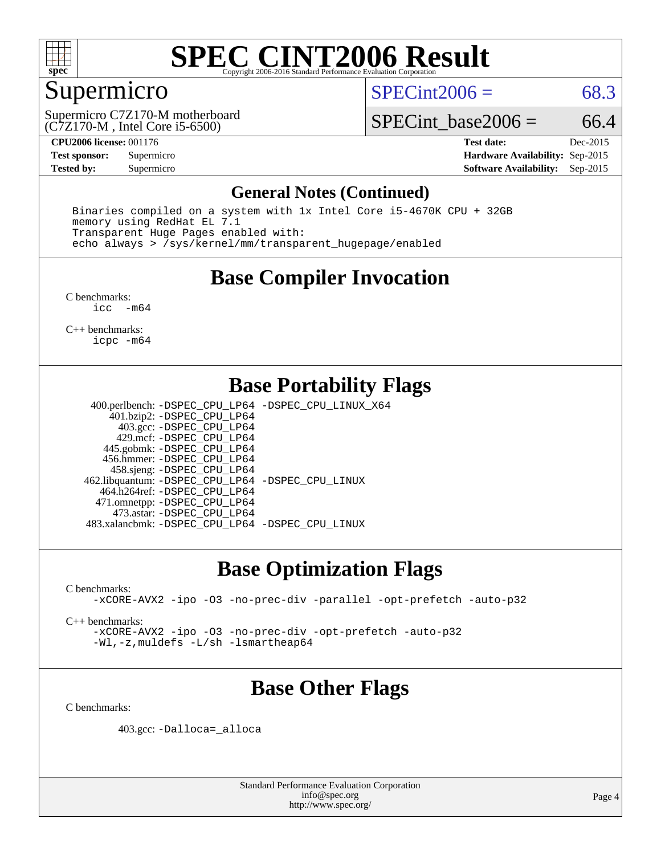

### Supermicro

 $SPECint2006 = 68.3$  $SPECint2006 = 68.3$ 

(C7Z170-M , Intel Core i5-6500) Supermicro C7Z170-M motherboard

SPECint base2006 =  $66.4$ 

**[CPU2006 license:](http://www.spec.org/auto/cpu2006/Docs/result-fields.html#CPU2006license)** 001176 **[Test date:](http://www.spec.org/auto/cpu2006/Docs/result-fields.html#Testdate)** Dec-2015 **[Test sponsor:](http://www.spec.org/auto/cpu2006/Docs/result-fields.html#Testsponsor)** Supermicro **[Hardware Availability:](http://www.spec.org/auto/cpu2006/Docs/result-fields.html#HardwareAvailability)** Sep-2015 **[Tested by:](http://www.spec.org/auto/cpu2006/Docs/result-fields.html#Testedby)** Supermicro **Supermicro [Software Availability:](http://www.spec.org/auto/cpu2006/Docs/result-fields.html#SoftwareAvailability)** Sep-2015

#### **[General Notes \(Continued\)](http://www.spec.org/auto/cpu2006/Docs/result-fields.html#GeneralNotes)**

 Binaries compiled on a system with 1x Intel Core i5-4670K CPU + 32GB memory using RedHat EL 7.1 Transparent Huge Pages enabled with: echo always > /sys/kernel/mm/transparent\_hugepage/enabled

### **[Base Compiler Invocation](http://www.spec.org/auto/cpu2006/Docs/result-fields.html#BaseCompilerInvocation)**

[C benchmarks](http://www.spec.org/auto/cpu2006/Docs/result-fields.html#Cbenchmarks): [icc -m64](http://www.spec.org/cpu2006/results/res2016q1/cpu2006-20151217-38444.flags.html#user_CCbase_intel_icc_64bit_f346026e86af2a669e726fe758c88044)

[C++ benchmarks:](http://www.spec.org/auto/cpu2006/Docs/result-fields.html#CXXbenchmarks) [icpc -m64](http://www.spec.org/cpu2006/results/res2016q1/cpu2006-20151217-38444.flags.html#user_CXXbase_intel_icpc_64bit_fc66a5337ce925472a5c54ad6a0de310)

### **[Base Portability Flags](http://www.spec.org/auto/cpu2006/Docs/result-fields.html#BasePortabilityFlags)**

 400.perlbench: [-DSPEC\\_CPU\\_LP64](http://www.spec.org/cpu2006/results/res2016q1/cpu2006-20151217-38444.flags.html#b400.perlbench_basePORTABILITY_DSPEC_CPU_LP64) [-DSPEC\\_CPU\\_LINUX\\_X64](http://www.spec.org/cpu2006/results/res2016q1/cpu2006-20151217-38444.flags.html#b400.perlbench_baseCPORTABILITY_DSPEC_CPU_LINUX_X64) 401.bzip2: [-DSPEC\\_CPU\\_LP64](http://www.spec.org/cpu2006/results/res2016q1/cpu2006-20151217-38444.flags.html#suite_basePORTABILITY401_bzip2_DSPEC_CPU_LP64) 403.gcc: [-DSPEC\\_CPU\\_LP64](http://www.spec.org/cpu2006/results/res2016q1/cpu2006-20151217-38444.flags.html#suite_basePORTABILITY403_gcc_DSPEC_CPU_LP64) 429.mcf: [-DSPEC\\_CPU\\_LP64](http://www.spec.org/cpu2006/results/res2016q1/cpu2006-20151217-38444.flags.html#suite_basePORTABILITY429_mcf_DSPEC_CPU_LP64) 445.gobmk: [-DSPEC\\_CPU\\_LP64](http://www.spec.org/cpu2006/results/res2016q1/cpu2006-20151217-38444.flags.html#suite_basePORTABILITY445_gobmk_DSPEC_CPU_LP64) 456.hmmer: [-DSPEC\\_CPU\\_LP64](http://www.spec.org/cpu2006/results/res2016q1/cpu2006-20151217-38444.flags.html#suite_basePORTABILITY456_hmmer_DSPEC_CPU_LP64) 458.sjeng: [-DSPEC\\_CPU\\_LP64](http://www.spec.org/cpu2006/results/res2016q1/cpu2006-20151217-38444.flags.html#suite_basePORTABILITY458_sjeng_DSPEC_CPU_LP64) 462.libquantum: [-DSPEC\\_CPU\\_LP64](http://www.spec.org/cpu2006/results/res2016q1/cpu2006-20151217-38444.flags.html#suite_basePORTABILITY462_libquantum_DSPEC_CPU_LP64) [-DSPEC\\_CPU\\_LINUX](http://www.spec.org/cpu2006/results/res2016q1/cpu2006-20151217-38444.flags.html#b462.libquantum_baseCPORTABILITY_DSPEC_CPU_LINUX) 464.h264ref: [-DSPEC\\_CPU\\_LP64](http://www.spec.org/cpu2006/results/res2016q1/cpu2006-20151217-38444.flags.html#suite_basePORTABILITY464_h264ref_DSPEC_CPU_LP64) 471.omnetpp: [-DSPEC\\_CPU\\_LP64](http://www.spec.org/cpu2006/results/res2016q1/cpu2006-20151217-38444.flags.html#suite_basePORTABILITY471_omnetpp_DSPEC_CPU_LP64) 473.astar: [-DSPEC\\_CPU\\_LP64](http://www.spec.org/cpu2006/results/res2016q1/cpu2006-20151217-38444.flags.html#suite_basePORTABILITY473_astar_DSPEC_CPU_LP64) 483.xalancbmk: [-DSPEC\\_CPU\\_LP64](http://www.spec.org/cpu2006/results/res2016q1/cpu2006-20151217-38444.flags.html#suite_basePORTABILITY483_xalancbmk_DSPEC_CPU_LP64) [-DSPEC\\_CPU\\_LINUX](http://www.spec.org/cpu2006/results/res2016q1/cpu2006-20151217-38444.flags.html#b483.xalancbmk_baseCXXPORTABILITY_DSPEC_CPU_LINUX)

### **[Base Optimization Flags](http://www.spec.org/auto/cpu2006/Docs/result-fields.html#BaseOptimizationFlags)**

[C benchmarks](http://www.spec.org/auto/cpu2006/Docs/result-fields.html#Cbenchmarks):

[-xCORE-AVX2](http://www.spec.org/cpu2006/results/res2016q1/cpu2006-20151217-38444.flags.html#user_CCbase_f-xAVX2_5f5fc0cbe2c9f62c816d3e45806c70d7) [-ipo](http://www.spec.org/cpu2006/results/res2016q1/cpu2006-20151217-38444.flags.html#user_CCbase_f-ipo) [-O3](http://www.spec.org/cpu2006/results/res2016q1/cpu2006-20151217-38444.flags.html#user_CCbase_f-O3) [-no-prec-div](http://www.spec.org/cpu2006/results/res2016q1/cpu2006-20151217-38444.flags.html#user_CCbase_f-no-prec-div) [-parallel](http://www.spec.org/cpu2006/results/res2016q1/cpu2006-20151217-38444.flags.html#user_CCbase_f-parallel) [-opt-prefetch](http://www.spec.org/cpu2006/results/res2016q1/cpu2006-20151217-38444.flags.html#user_CCbase_f-opt-prefetch) [-auto-p32](http://www.spec.org/cpu2006/results/res2016q1/cpu2006-20151217-38444.flags.html#user_CCbase_f-auto-p32)

[C++ benchmarks:](http://www.spec.org/auto/cpu2006/Docs/result-fields.html#CXXbenchmarks)

[-xCORE-AVX2](http://www.spec.org/cpu2006/results/res2016q1/cpu2006-20151217-38444.flags.html#user_CXXbase_f-xAVX2_5f5fc0cbe2c9f62c816d3e45806c70d7) [-ipo](http://www.spec.org/cpu2006/results/res2016q1/cpu2006-20151217-38444.flags.html#user_CXXbase_f-ipo) [-O3](http://www.spec.org/cpu2006/results/res2016q1/cpu2006-20151217-38444.flags.html#user_CXXbase_f-O3) [-no-prec-div](http://www.spec.org/cpu2006/results/res2016q1/cpu2006-20151217-38444.flags.html#user_CXXbase_f-no-prec-div) [-opt-prefetch](http://www.spec.org/cpu2006/results/res2016q1/cpu2006-20151217-38444.flags.html#user_CXXbase_f-opt-prefetch) [-auto-p32](http://www.spec.org/cpu2006/results/res2016q1/cpu2006-20151217-38444.flags.html#user_CXXbase_f-auto-p32) [-Wl,-z,muldefs](http://www.spec.org/cpu2006/results/res2016q1/cpu2006-20151217-38444.flags.html#user_CXXbase_link_force_multiple1_74079c344b956b9658436fd1b6dd3a8a) [-L/sh -lsmartheap64](http://www.spec.org/cpu2006/results/res2016q1/cpu2006-20151217-38444.flags.html#user_CXXbase_SmartHeap64_ed4ef857ce90951921efb0d91eb88472)

### **[Base Other Flags](http://www.spec.org/auto/cpu2006/Docs/result-fields.html#BaseOtherFlags)**

[C benchmarks](http://www.spec.org/auto/cpu2006/Docs/result-fields.html#Cbenchmarks):

403.gcc: [-Dalloca=\\_alloca](http://www.spec.org/cpu2006/results/res2016q1/cpu2006-20151217-38444.flags.html#b403.gcc_baseEXTRA_CFLAGS_Dalloca_be3056838c12de2578596ca5467af7f3)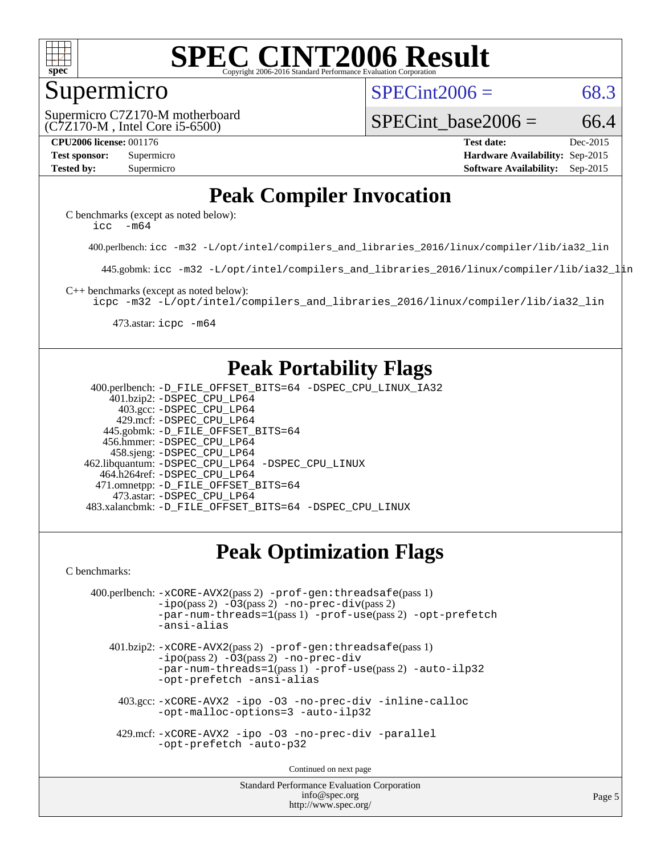

### Supermicro

 $SPECint2006 = 68.3$  $SPECint2006 = 68.3$ 

(C7Z170-M , Intel Core i5-6500) Supermicro C7Z170-M motherboard

SPECint base2006 =  $66.4$ 

**[CPU2006 license:](http://www.spec.org/auto/cpu2006/Docs/result-fields.html#CPU2006license)** 001176 **[Test date:](http://www.spec.org/auto/cpu2006/Docs/result-fields.html#Testdate)** Dec-2015 **[Test sponsor:](http://www.spec.org/auto/cpu2006/Docs/result-fields.html#Testsponsor)** Supermicro **[Hardware Availability:](http://www.spec.org/auto/cpu2006/Docs/result-fields.html#HardwareAvailability)** Sep-2015 **[Tested by:](http://www.spec.org/auto/cpu2006/Docs/result-fields.html#Testedby)** Supermicro **Supermicro [Software Availability:](http://www.spec.org/auto/cpu2006/Docs/result-fields.html#SoftwareAvailability)** Sep-2015

### **[Peak Compiler Invocation](http://www.spec.org/auto/cpu2006/Docs/result-fields.html#PeakCompilerInvocation)**

[C benchmarks \(except as noted below\)](http://www.spec.org/auto/cpu2006/Docs/result-fields.html#Cbenchmarksexceptasnotedbelow): [icc -m64](http://www.spec.org/cpu2006/results/res2016q1/cpu2006-20151217-38444.flags.html#user_CCpeak_intel_icc_64bit_f346026e86af2a669e726fe758c88044)

400.perlbench: [icc -m32 -L/opt/intel/compilers\\_and\\_libraries\\_2016/linux/compiler/lib/ia32\\_lin](http://www.spec.org/cpu2006/results/res2016q1/cpu2006-20151217-38444.flags.html#user_peakCCLD400_perlbench_intel_icc_e10256ba5924b668798078a321b0cb3f)

445.gobmk: [icc -m32 -L/opt/intel/compilers\\_and\\_libraries\\_2016/linux/compiler/lib/ia32\\_lin](http://www.spec.org/cpu2006/results/res2016q1/cpu2006-20151217-38444.flags.html#user_peakCCLD445_gobmk_intel_icc_e10256ba5924b668798078a321b0cb3f)

[C++ benchmarks \(except as noted below\):](http://www.spec.org/auto/cpu2006/Docs/result-fields.html#CXXbenchmarksexceptasnotedbelow)

[icpc -m32 -L/opt/intel/compilers\\_and\\_libraries\\_2016/linux/compiler/lib/ia32\\_lin](http://www.spec.org/cpu2006/results/res2016q1/cpu2006-20151217-38444.flags.html#user_CXXpeak_intel_icpc_b4f50a394bdb4597aa5879c16bc3f5c5)

473.astar: [icpc -m64](http://www.spec.org/cpu2006/results/res2016q1/cpu2006-20151217-38444.flags.html#user_peakCXXLD473_astar_intel_icpc_64bit_fc66a5337ce925472a5c54ad6a0de310)

### **[Peak Portability Flags](http://www.spec.org/auto/cpu2006/Docs/result-fields.html#PeakPortabilityFlags)**

 400.perlbench: [-D\\_FILE\\_OFFSET\\_BITS=64](http://www.spec.org/cpu2006/results/res2016q1/cpu2006-20151217-38444.flags.html#user_peakPORTABILITY400_perlbench_file_offset_bits_64_438cf9856305ebd76870a2c6dc2689ab) [-DSPEC\\_CPU\\_LINUX\\_IA32](http://www.spec.org/cpu2006/results/res2016q1/cpu2006-20151217-38444.flags.html#b400.perlbench_peakCPORTABILITY_DSPEC_CPU_LINUX_IA32) 401.bzip2: [-DSPEC\\_CPU\\_LP64](http://www.spec.org/cpu2006/results/res2016q1/cpu2006-20151217-38444.flags.html#suite_peakPORTABILITY401_bzip2_DSPEC_CPU_LP64) 403.gcc: [-DSPEC\\_CPU\\_LP64](http://www.spec.org/cpu2006/results/res2016q1/cpu2006-20151217-38444.flags.html#suite_peakPORTABILITY403_gcc_DSPEC_CPU_LP64) 429.mcf: [-DSPEC\\_CPU\\_LP64](http://www.spec.org/cpu2006/results/res2016q1/cpu2006-20151217-38444.flags.html#suite_peakPORTABILITY429_mcf_DSPEC_CPU_LP64) 445.gobmk: [-D\\_FILE\\_OFFSET\\_BITS=64](http://www.spec.org/cpu2006/results/res2016q1/cpu2006-20151217-38444.flags.html#user_peakPORTABILITY445_gobmk_file_offset_bits_64_438cf9856305ebd76870a2c6dc2689ab) 456.hmmer: [-DSPEC\\_CPU\\_LP64](http://www.spec.org/cpu2006/results/res2016q1/cpu2006-20151217-38444.flags.html#suite_peakPORTABILITY456_hmmer_DSPEC_CPU_LP64) 458.sjeng: [-DSPEC\\_CPU\\_LP64](http://www.spec.org/cpu2006/results/res2016q1/cpu2006-20151217-38444.flags.html#suite_peakPORTABILITY458_sjeng_DSPEC_CPU_LP64) 462.libquantum: [-DSPEC\\_CPU\\_LP64](http://www.spec.org/cpu2006/results/res2016q1/cpu2006-20151217-38444.flags.html#suite_peakPORTABILITY462_libquantum_DSPEC_CPU_LP64) [-DSPEC\\_CPU\\_LINUX](http://www.spec.org/cpu2006/results/res2016q1/cpu2006-20151217-38444.flags.html#b462.libquantum_peakCPORTABILITY_DSPEC_CPU_LINUX) 464.h264ref: [-DSPEC\\_CPU\\_LP64](http://www.spec.org/cpu2006/results/res2016q1/cpu2006-20151217-38444.flags.html#suite_peakPORTABILITY464_h264ref_DSPEC_CPU_LP64) 471.omnetpp: [-D\\_FILE\\_OFFSET\\_BITS=64](http://www.spec.org/cpu2006/results/res2016q1/cpu2006-20151217-38444.flags.html#user_peakPORTABILITY471_omnetpp_file_offset_bits_64_438cf9856305ebd76870a2c6dc2689ab) 473.astar: [-DSPEC\\_CPU\\_LP64](http://www.spec.org/cpu2006/results/res2016q1/cpu2006-20151217-38444.flags.html#suite_peakPORTABILITY473_astar_DSPEC_CPU_LP64) 483.xalancbmk: [-D\\_FILE\\_OFFSET\\_BITS=64](http://www.spec.org/cpu2006/results/res2016q1/cpu2006-20151217-38444.flags.html#user_peakPORTABILITY483_xalancbmk_file_offset_bits_64_438cf9856305ebd76870a2c6dc2689ab) [-DSPEC\\_CPU\\_LINUX](http://www.spec.org/cpu2006/results/res2016q1/cpu2006-20151217-38444.flags.html#b483.xalancbmk_peakCXXPORTABILITY_DSPEC_CPU_LINUX)

## **[Peak Optimization Flags](http://www.spec.org/auto/cpu2006/Docs/result-fields.html#PeakOptimizationFlags)**

[C benchmarks](http://www.spec.org/auto/cpu2006/Docs/result-fields.html#Cbenchmarks):

```
 400.perlbench: -xCORE-AVX2(pass 2) -prof-gen:threadsafe(pass 1)
   -i\text{po}(pass 2) -\overline{0}3(pass 2)-no-prec-div(pass 2)
   -par-num-threads=1(pass 1) -prof-use(pass 2) -opt-prefetch
   -ansi-alias
```
 401.bzip2: [-xCORE-AVX2](http://www.spec.org/cpu2006/results/res2016q1/cpu2006-20151217-38444.flags.html#user_peakPASS2_CFLAGSPASS2_LDCFLAGS401_bzip2_f-xAVX2_5f5fc0cbe2c9f62c816d3e45806c70d7)(pass 2) [-prof-gen:threadsafe](http://www.spec.org/cpu2006/results/res2016q1/cpu2006-20151217-38444.flags.html#user_peakPASS1_CFLAGSPASS1_LDCFLAGS401_bzip2_prof_gen_21a26eb79f378b550acd7bec9fe4467a)(pass 1)  $-i\text{po}(pass 2) -03(pass 2) -no-prec-div$  $-i\text{po}(pass 2) -03(pass 2) -no-prec-div$ [-par-num-threads=1](http://www.spec.org/cpu2006/results/res2016q1/cpu2006-20151217-38444.flags.html#user_peakPASS1_CFLAGSPASS1_LDCFLAGS401_bzip2_par_num_threads_786a6ff141b4e9e90432e998842df6c2)(pass 1) [-prof-use](http://www.spec.org/cpu2006/results/res2016q1/cpu2006-20151217-38444.flags.html#user_peakPASS2_CFLAGSPASS2_LDCFLAGS401_bzip2_prof_use_bccf7792157ff70d64e32fe3e1250b55)(pass 2) [-auto-ilp32](http://www.spec.org/cpu2006/results/res2016q1/cpu2006-20151217-38444.flags.html#user_peakCOPTIMIZE401_bzip2_f-auto-ilp32) [-opt-prefetch](http://www.spec.org/cpu2006/results/res2016q1/cpu2006-20151217-38444.flags.html#user_peakCOPTIMIZE401_bzip2_f-opt-prefetch) [-ansi-alias](http://www.spec.org/cpu2006/results/res2016q1/cpu2006-20151217-38444.flags.html#user_peakCOPTIMIZE401_bzip2_f-ansi-alias)

 403.gcc: [-xCORE-AVX2](http://www.spec.org/cpu2006/results/res2016q1/cpu2006-20151217-38444.flags.html#user_peakCOPTIMIZE403_gcc_f-xAVX2_5f5fc0cbe2c9f62c816d3e45806c70d7) [-ipo](http://www.spec.org/cpu2006/results/res2016q1/cpu2006-20151217-38444.flags.html#user_peakCOPTIMIZE403_gcc_f-ipo) [-O3](http://www.spec.org/cpu2006/results/res2016q1/cpu2006-20151217-38444.flags.html#user_peakCOPTIMIZE403_gcc_f-O3) [-no-prec-div](http://www.spec.org/cpu2006/results/res2016q1/cpu2006-20151217-38444.flags.html#user_peakCOPTIMIZE403_gcc_f-no-prec-div) [-inline-calloc](http://www.spec.org/cpu2006/results/res2016q1/cpu2006-20151217-38444.flags.html#user_peakCOPTIMIZE403_gcc_f-inline-calloc) [-opt-malloc-options=3](http://www.spec.org/cpu2006/results/res2016q1/cpu2006-20151217-38444.flags.html#user_peakCOPTIMIZE403_gcc_f-opt-malloc-options_13ab9b803cf986b4ee62f0a5998c2238) [-auto-ilp32](http://www.spec.org/cpu2006/results/res2016q1/cpu2006-20151217-38444.flags.html#user_peakCOPTIMIZE403_gcc_f-auto-ilp32)

 429.mcf: [-xCORE-AVX2](http://www.spec.org/cpu2006/results/res2016q1/cpu2006-20151217-38444.flags.html#user_peakCOPTIMIZE429_mcf_f-xAVX2_5f5fc0cbe2c9f62c816d3e45806c70d7) [-ipo](http://www.spec.org/cpu2006/results/res2016q1/cpu2006-20151217-38444.flags.html#user_peakCOPTIMIZE429_mcf_f-ipo) [-O3](http://www.spec.org/cpu2006/results/res2016q1/cpu2006-20151217-38444.flags.html#user_peakCOPTIMIZE429_mcf_f-O3) [-no-prec-div](http://www.spec.org/cpu2006/results/res2016q1/cpu2006-20151217-38444.flags.html#user_peakCOPTIMIZE429_mcf_f-no-prec-div) [-parallel](http://www.spec.org/cpu2006/results/res2016q1/cpu2006-20151217-38444.flags.html#user_peakCOPTIMIZE429_mcf_f-parallel) [-opt-prefetch](http://www.spec.org/cpu2006/results/res2016q1/cpu2006-20151217-38444.flags.html#user_peakCOPTIMIZE429_mcf_f-opt-prefetch) [-auto-p32](http://www.spec.org/cpu2006/results/res2016q1/cpu2006-20151217-38444.flags.html#user_peakCOPTIMIZE429_mcf_f-auto-p32)

Continued on next page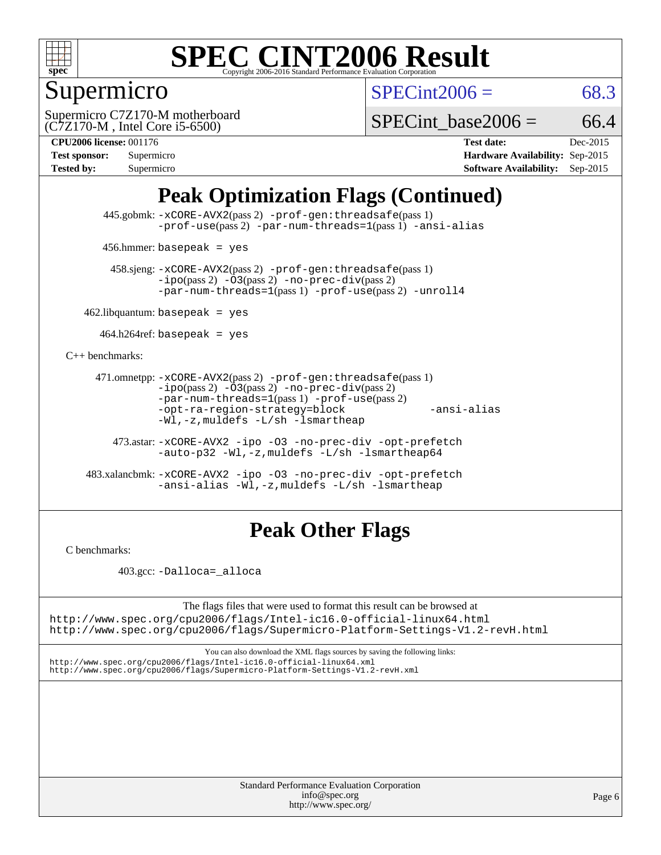

# Supermicro

 $SPECint2006 = 68.3$  $SPECint2006 = 68.3$ 

(C7Z170-M , Intel Core i5-6500) Supermicro C7Z170-M motherboard

SPECint base2006 =  $66.4$ 

**[CPU2006 license:](http://www.spec.org/auto/cpu2006/Docs/result-fields.html#CPU2006license)** 001176 **[Test date:](http://www.spec.org/auto/cpu2006/Docs/result-fields.html#Testdate)** Dec-2015 **[Test sponsor:](http://www.spec.org/auto/cpu2006/Docs/result-fields.html#Testsponsor)** Supermicro **[Hardware Availability:](http://www.spec.org/auto/cpu2006/Docs/result-fields.html#HardwareAvailability)** Sep-2015 **[Tested by:](http://www.spec.org/auto/cpu2006/Docs/result-fields.html#Testedby)** Supermicro **Supermicro [Software Availability:](http://www.spec.org/auto/cpu2006/Docs/result-fields.html#SoftwareAvailability)** Sep-2015

# **[Peak Optimization Flags \(Continued\)](http://www.spec.org/auto/cpu2006/Docs/result-fields.html#PeakOptimizationFlags)**

 445.gobmk: [-xCORE-AVX2](http://www.spec.org/cpu2006/results/res2016q1/cpu2006-20151217-38444.flags.html#user_peakPASS2_CFLAGSPASS2_LDCFLAGS445_gobmk_f-xAVX2_5f5fc0cbe2c9f62c816d3e45806c70d7)(pass 2) [-prof-gen:threadsafe](http://www.spec.org/cpu2006/results/res2016q1/cpu2006-20151217-38444.flags.html#user_peakPASS1_CFLAGSPASS1_LDCFLAGS445_gobmk_prof_gen_21a26eb79f378b550acd7bec9fe4467a)(pass 1) [-prof-use](http://www.spec.org/cpu2006/results/res2016q1/cpu2006-20151217-38444.flags.html#user_peakPASS2_CFLAGSPASS2_LDCFLAGS445_gobmk_prof_use_bccf7792157ff70d64e32fe3e1250b55)(pass 2) [-par-num-threads=1](http://www.spec.org/cpu2006/results/res2016q1/cpu2006-20151217-38444.flags.html#user_peakPASS1_CFLAGSPASS1_LDCFLAGS445_gobmk_par_num_threads_786a6ff141b4e9e90432e998842df6c2)(pass 1) [-ansi-alias](http://www.spec.org/cpu2006/results/res2016q1/cpu2006-20151217-38444.flags.html#user_peakCOPTIMIZE445_gobmk_f-ansi-alias)

456.hmmer: basepeak = yes

 458.sjeng: [-xCORE-AVX2](http://www.spec.org/cpu2006/results/res2016q1/cpu2006-20151217-38444.flags.html#user_peakPASS2_CFLAGSPASS2_LDCFLAGS458_sjeng_f-xAVX2_5f5fc0cbe2c9f62c816d3e45806c70d7)(pass 2) [-prof-gen:threadsafe](http://www.spec.org/cpu2006/results/res2016q1/cpu2006-20151217-38444.flags.html#user_peakPASS1_CFLAGSPASS1_LDCFLAGS458_sjeng_prof_gen_21a26eb79f378b550acd7bec9fe4467a)(pass 1)  $-ipo(pass 2) -\overline{03(pass 2)}$  $-ipo(pass 2) -\overline{03(pass 2)}$  [-no-prec-div](http://www.spec.org/cpu2006/results/res2016q1/cpu2006-20151217-38444.flags.html#user_peakPASS2_CFLAGSPASS2_LDCFLAGS458_sjeng_f-no-prec-div)(pass 2) [-par-num-threads=1](http://www.spec.org/cpu2006/results/res2016q1/cpu2006-20151217-38444.flags.html#user_peakPASS1_CFLAGSPASS1_LDCFLAGS458_sjeng_par_num_threads_786a6ff141b4e9e90432e998842df6c2)(pass 1) [-prof-use](http://www.spec.org/cpu2006/results/res2016q1/cpu2006-20151217-38444.flags.html#user_peakPASS2_CFLAGSPASS2_LDCFLAGS458_sjeng_prof_use_bccf7792157ff70d64e32fe3e1250b55)(pass 2) [-unroll4](http://www.spec.org/cpu2006/results/res2016q1/cpu2006-20151217-38444.flags.html#user_peakCOPTIMIZE458_sjeng_f-unroll_4e5e4ed65b7fd20bdcd365bec371b81f)

 $462$ .libquantum: basepeak = yes

 $464.h264$ ref: basepeak = yes

[C++ benchmarks:](http://www.spec.org/auto/cpu2006/Docs/result-fields.html#CXXbenchmarks)

```
 471.omnetpp: -xCORE-AVX2(pass 2) -prof-gen:threadsafe(pass 1)
-i\text{po}(pass 2) -03(pass 2) -no-prec-div(pass 2)-par-num-threads=1(pass 1) -prof-use(pass 2)
-opt-ra-region-strategy=block -ansi-alias
-Wl,-z,muldefs -L/sh -lsmartheap
```
 473.astar: [-xCORE-AVX2](http://www.spec.org/cpu2006/results/res2016q1/cpu2006-20151217-38444.flags.html#user_peakCXXOPTIMIZE473_astar_f-xAVX2_5f5fc0cbe2c9f62c816d3e45806c70d7) [-ipo](http://www.spec.org/cpu2006/results/res2016q1/cpu2006-20151217-38444.flags.html#user_peakCXXOPTIMIZE473_astar_f-ipo) [-O3](http://www.spec.org/cpu2006/results/res2016q1/cpu2006-20151217-38444.flags.html#user_peakCXXOPTIMIZE473_astar_f-O3) [-no-prec-div](http://www.spec.org/cpu2006/results/res2016q1/cpu2006-20151217-38444.flags.html#user_peakCXXOPTIMIZE473_astar_f-no-prec-div) [-opt-prefetch](http://www.spec.org/cpu2006/results/res2016q1/cpu2006-20151217-38444.flags.html#user_peakCXXOPTIMIZE473_astar_f-opt-prefetch) [-auto-p32](http://www.spec.org/cpu2006/results/res2016q1/cpu2006-20151217-38444.flags.html#user_peakCXXOPTIMIZE473_astar_f-auto-p32) [-Wl,-z,muldefs](http://www.spec.org/cpu2006/results/res2016q1/cpu2006-20151217-38444.flags.html#user_peakEXTRA_LDFLAGS473_astar_link_force_multiple1_74079c344b956b9658436fd1b6dd3a8a) [-L/sh -lsmartheap64](http://www.spec.org/cpu2006/results/res2016q1/cpu2006-20151217-38444.flags.html#user_peakEXTRA_LIBS473_astar_SmartHeap64_ed4ef857ce90951921efb0d91eb88472)

 483.xalancbmk: [-xCORE-AVX2](http://www.spec.org/cpu2006/results/res2016q1/cpu2006-20151217-38444.flags.html#user_peakCXXOPTIMIZE483_xalancbmk_f-xAVX2_5f5fc0cbe2c9f62c816d3e45806c70d7) [-ipo](http://www.spec.org/cpu2006/results/res2016q1/cpu2006-20151217-38444.flags.html#user_peakCXXOPTIMIZE483_xalancbmk_f-ipo) [-O3](http://www.spec.org/cpu2006/results/res2016q1/cpu2006-20151217-38444.flags.html#user_peakCXXOPTIMIZE483_xalancbmk_f-O3) [-no-prec-div](http://www.spec.org/cpu2006/results/res2016q1/cpu2006-20151217-38444.flags.html#user_peakCXXOPTIMIZE483_xalancbmk_f-no-prec-div) [-opt-prefetch](http://www.spec.org/cpu2006/results/res2016q1/cpu2006-20151217-38444.flags.html#user_peakCXXOPTIMIZE483_xalancbmk_f-opt-prefetch) [-ansi-alias](http://www.spec.org/cpu2006/results/res2016q1/cpu2006-20151217-38444.flags.html#user_peakCXXOPTIMIZE483_xalancbmk_f-ansi-alias) [-Wl,-z,muldefs](http://www.spec.org/cpu2006/results/res2016q1/cpu2006-20151217-38444.flags.html#user_peakEXTRA_LDFLAGS483_xalancbmk_link_force_multiple1_74079c344b956b9658436fd1b6dd3a8a) [-L/sh -lsmartheap](http://www.spec.org/cpu2006/results/res2016q1/cpu2006-20151217-38444.flags.html#user_peakEXTRA_LIBS483_xalancbmk_SmartHeap_32f6c82aa1ed9c52345d30cf6e4a0499)

### **[Peak Other Flags](http://www.spec.org/auto/cpu2006/Docs/result-fields.html#PeakOtherFlags)**

[C benchmarks](http://www.spec.org/auto/cpu2006/Docs/result-fields.html#Cbenchmarks):

403.gcc: [-Dalloca=\\_alloca](http://www.spec.org/cpu2006/results/res2016q1/cpu2006-20151217-38444.flags.html#b403.gcc_peakEXTRA_CFLAGS_Dalloca_be3056838c12de2578596ca5467af7f3)

The flags files that were used to format this result can be browsed at <http://www.spec.org/cpu2006/flags/Intel-ic16.0-official-linux64.html>

<http://www.spec.org/cpu2006/flags/Supermicro-Platform-Settings-V1.2-revH.html>

You can also download the XML flags sources by saving the following links: <http://www.spec.org/cpu2006/flags/Intel-ic16.0-official-linux64.xml> <http://www.spec.org/cpu2006/flags/Supermicro-Platform-Settings-V1.2-revH.xml>